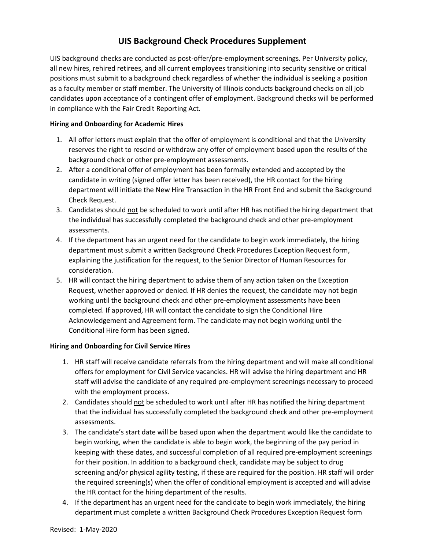## **UIS Background Check Procedures Supplement**

UIS background checks are conducted as post-offer/pre-employment screenings. Per University policy, all new hires, rehired retirees, and all current employees transitioning into security sensitive or critical positions must submit to a background check regardless of whether the individual is seeking a position as a faculty member or staff member. The University of Illinois conducts background checks on all job candidates upon acceptance of a contingent offer of employment. Background checks will be performed in compliance with the Fair Credit Reporting Act.

## **Hiring and Onboarding for Academic Hires**

- 1. All offer letters must explain that the offer of employment is conditional and that the University reserves the right to rescind or withdraw any offer of employment based upon the results of the background check or other pre-employment assessments.
- 2. After a conditional offer of employment has been formally extended and accepted by the candidate in writing (signed offer letter has been received), the HR contact for the hiring department will initiate the New Hire Transaction in the HR Front End and submit the Background Check Request.
- 3. Candidates should not be scheduled to work until after HR has notified the hiring department that the individual has successfully completed the background check and other pre-employment assessments.
- 4. If the department has an urgent need for the candidate to begin work immediately, the hiring department must submit a written Background Check Procedures Exception Request form, explaining the justification for the request, to the Senior Director of Human Resources for consideration.
- 5. HR will contact the hiring department to advise them of any action taken on the Exception Request, whether approved or denied. If HR denies the request, the candidate may not begin working until the background check and other pre-employment assessments have been completed. If approved, HR will contact the candidate to sign the Conditional Hire Acknowledgement and Agreement form. The candidate may not begin working until the Conditional Hire form has been signed.

## **Hiring and Onboarding for Civil Service Hires**

- 1. HR staff will receive candidate referrals from the hiring department and will make all conditional offers for employment for Civil Service vacancies. HR will advise the hiring department and HR staff will advise the candidate of any required pre-employment screenings necessary to proceed with the employment process.
- 2. Candidates should not be scheduled to work until after HR has notified the hiring department that the individual has successfully completed the background check and other pre-employment assessments.
- 3. The candidate's start date will be based upon when the department would like the candidate to begin working, when the candidate is able to begin work, the beginning of the pay period in keeping with these dates, and successful completion of all required pre-employment screenings for their position. In addition to a background check, candidate may be subject to drug screening and/or physical agility testing, if these are required for the position. HR staff will order the required screening(s) when the offer of conditional employment is accepted and will advise the HR contact for the hiring department of the results.
- 4. If the department has an urgent need for the candidate to begin work immediately, the hiring department must complete a written Background Check Procedures Exception Request form